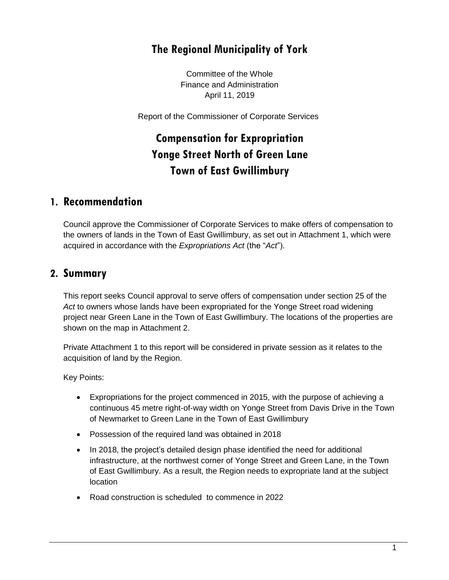# **The Regional Municipality of York**

Committee of the Whole Finance and Administration April 11, 2019

Report of the Commissioner of Corporate Services

# **Compensation for Expropriation Yonge Street North of Green Lane Town of East Gwillimbury**

#### **1. Recommendation**

Council approve the Commissioner of Corporate Services to make offers of compensation to the owners of lands in the Town of East Gwillimbury, as set out in Attachment 1, which were acquired in accordance with the *Expropriations Act* (the "*Act*").

### **2. Summary**

This report seeks Council approval to serve offers of compensation under section 25 of the *Act* to owners whose lands have been expropriated for the Yonge Street road widening project near Green Lane in the Town of East Gwillimbury. The locations of the properties are shown on the map in Attachment 2.

Private Attachment 1 to this report will be considered in private session as it relates to the acquisition of land by the Region.

Key Points:

- Expropriations for the project commenced in 2015, with the purpose of achieving a continuous 45 metre right-of-way width on Yonge Street from Davis Drive in the Town of Newmarket to Green Lane in the Town of East Gwillimbury
- Possession of the required land was obtained in 2018
- In 2018, the project's detailed design phase identified the need for additional infrastructure, at the northwest corner of Yonge Street and Green Lane, in the Town of East Gwillimbury. As a result, the Region needs to expropriate land at the subject location
- Road construction is scheduled to commence in 2022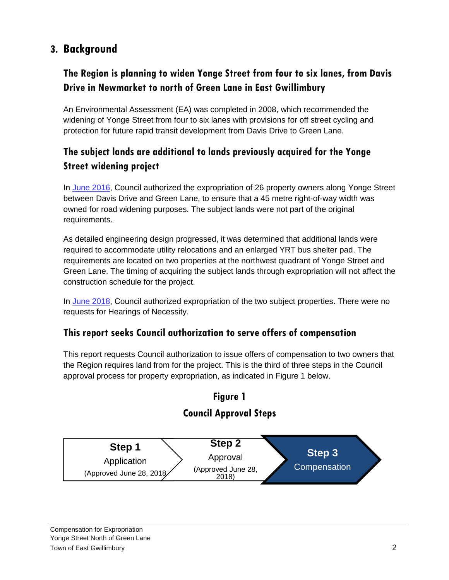# **3. Background**

## **The Region is planning to widen Yonge Street from four to six lanes, from Davis Drive in Newmarket to north of Green Lane in East Gwillimbury**

An Environmental Assessment (EA) was completed in 2008, which recommended the widening of Yonge Street from four to six lanes with provisions for off street cycling and protection for future rapid transit development from Davis Drive to Green Lane.

# **The subject lands are additional to lands previously acquired for the Yonge Street widening project**

In [June 2016,](http://www.york.ca/wps/wcm/connect/yorkpublic/1965554d-351c-4086-809a-e84333297b70/jun+16+yonge+ex.pdf?MOD=AJPERES) Council authorized the expropriation of 26 property owners along Yonge Street between Davis Drive and Green Lane, to ensure that a 45 metre right-of-way width was owned for road widening purposes. The subject lands were not part of the original requirements.

As detailed engineering design progressed, it was determined that additional lands were required to accommodate utility relocations and an enlarged YRT bus shelter pad. The requirements are located on two properties at the northwest quadrant of Yonge Street and Green Lane. The timing of acquiring the subject lands through expropriation will not affect the construction schedule for the project.

In [June 2018,](https://www.york.ca/wps/wcm/connect/yorkpublic/4181c753-f373-4a14-b560-fe89bd96a13b/jun+21+exp+yonge+ex.pdf?MOD=AJPERES) Council authorized expropriation of the two subject properties. There were no requests for Hearings of Necessity.

#### **This report seeks Council authorization to serve offers of compensation**

This report requests Council authorization to issue offers of compensation to two owners that the Region requires land from for the project. This is the third of three steps in the Council approval process for property expropriation, as indicated in Figure 1 below.

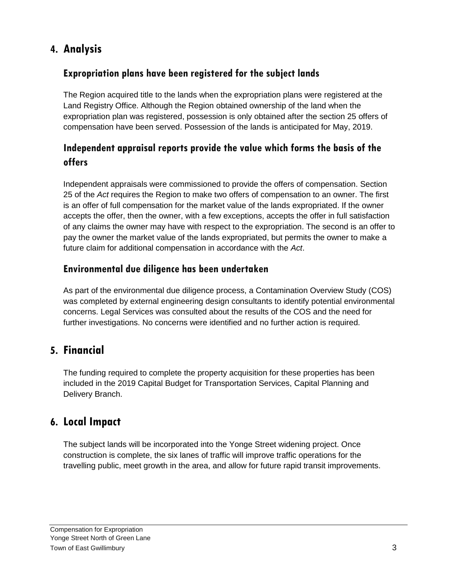# **4. Analysis**

## **Expropriation plans have been registered for the subject lands**

The Region acquired title to the lands when the expropriation plans were registered at the Land Registry Office. Although the Region obtained ownership of the land when the expropriation plan was registered, possession is only obtained after the section 25 offers of compensation have been served. Possession of the lands is anticipated for May, 2019.

## **Independent appraisal reports provide the value which forms the basis of the offers**

Independent appraisals were commissioned to provide the offers of compensation. Section 25 of the *Act* requires the Region to make two offers of compensation to an owner. The first is an offer of full compensation for the market value of the lands expropriated. If the owner accepts the offer, then the owner, with a few exceptions, accepts the offer in full satisfaction of any claims the owner may have with respect to the expropriation. The second is an offer to pay the owner the market value of the lands expropriated, but permits the owner to make a future claim for additional compensation in accordance with the *Act*.

## **Environmental due diligence has been undertaken**

As part of the environmental due diligence process, a Contamination Overview Study (COS) was completed by external engineering design consultants to identify potential environmental concerns. Legal Services was consulted about the results of the COS and the need for further investigations. No concerns were identified and no further action is required.

# **5. Financial**

The funding required to complete the property acquisition for these properties has been included in the 2019 Capital Budget for Transportation Services, Capital Planning and Delivery Branch.

## **6. Local Impact**

The subject lands will be incorporated into the Yonge Street widening project. Once construction is complete, the six lanes of traffic will improve traffic operations for the travelling public, meet growth in the area, and allow for future rapid transit improvements.